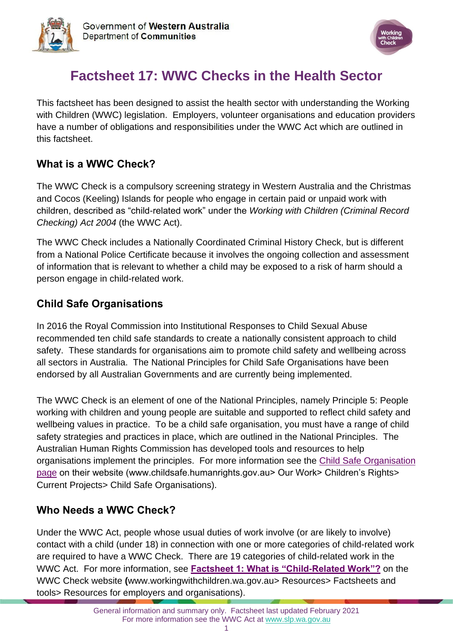



# **Factsheet 17: WWC Checks in the Health Sector**

This factsheet has been designed to assist the health sector with understanding the Working with Children (WWC) legislation. Employers, volunteer organisations and education providers have a number of obligations and responsibilities under the WWC Act which are outlined in this factsheet.

### **What is a WWC Check?**

The WWC Check is a compulsory screening strategy in Western Australia and the Christmas and Cocos (Keeling) Islands for people who engage in certain paid or unpaid work with children, described as "child-related work" under the *Working with Children (Criminal Record Checking) Act 2004* (the WWC Act).

The WWC Check includes a Nationally Coordinated Criminal History Check, but is different from a National Police Certificate because it involves the ongoing collection and assessment of information that is relevant to whether a child may be exposed to a risk of harm should a person engage in child-related work.

### **Child Safe Organisations**

In 2016 the Royal Commission into Institutional Responses to Child Sexual Abuse recommended ten child safe standards to create a nationally consistent approach to child safety. These standards for organisations aim to promote child safety and wellbeing across all sectors in Australia. The National Principles for Child Safe Organisations have been endorsed by all Australian Governments and are currently being implemented.

The WWC Check is an element of one of the National Principles, namely Principle 5: People working with children and young people are suitable and supported to reflect child safety and wellbeing values in practice. To be a child safe organisation, you must have a range of child safety strategies and practices in place, which are outlined in the National Principles. The Australian Human Rights Commission has developed tools and resources to help organisations implement the principles. For more information see the [Child Safe Organisation](https://humanrights.gov.au/our-work/childrens-rights/projects/child-safe-organisations)  [page](https://humanrights.gov.au/our-work/childrens-rights/projects/child-safe-organisations) on their website (www.childsafe.humanrights.gov.au> Our Work> Children's Rights> Current Projects> Child Safe Organisations).

# **Who Needs a WWC Check?**

Under the WWC Act, people whose usual duties of work involve (or are likely to involve) contact with a child (under 18) in connection with one or more categories of child-related work are required to have a WWC Check. There are 19 categories of child-related work in the WWC Act. For more information, see **[Factsheet 1: What is "Child-Related Work"?](https://workingwithchildren.wa.gov.au/docs/default-source/default-document-library/factsheet-1-what-is-child-related-work-2015.pdf)** on the WWC Check website **(**[www.workingwithchildren.wa.gov.au>](http://www.workingwithchildren.wa.gov.au/) Resources> Factsheets and tools> Resources for employers and organisations).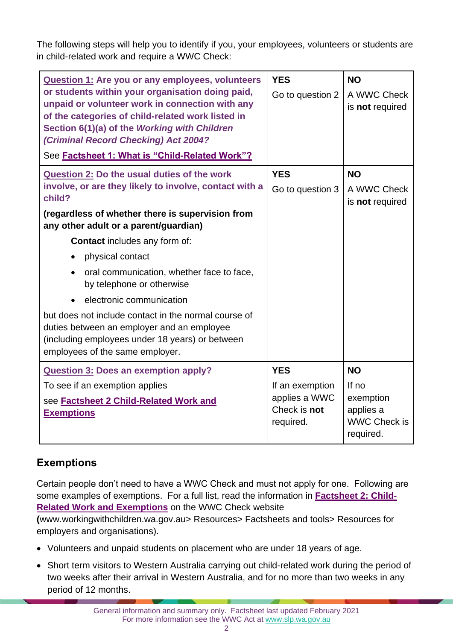The following steps will help you to identify if you, your employees, volunteers or students are in child-related work and require a WWC Check:

| <b>Question 1: Are you or any employees, volunteers</b><br>or students within your organisation doing paid,<br>unpaid or volunteer work in connection with any<br>of the categories of child-related work listed in<br>Section 6(1)(a) of the Working with Children<br>(Criminal Record Checking) Act 2004?<br>See Factsheet 1: What is "Child-Related Work"?                                                                                                                                                                                                                                                            | <b>YES</b><br>Go to question 2                                              | <b>NO</b><br>A WWC Check<br>is not required                                      |
|--------------------------------------------------------------------------------------------------------------------------------------------------------------------------------------------------------------------------------------------------------------------------------------------------------------------------------------------------------------------------------------------------------------------------------------------------------------------------------------------------------------------------------------------------------------------------------------------------------------------------|-----------------------------------------------------------------------------|----------------------------------------------------------------------------------|
| <b>Question 2: Do the usual duties of the work</b><br>involve, or are they likely to involve, contact with a<br>child?<br>(regardless of whether there is supervision from<br>any other adult or a parent/guardian)<br><b>Contact</b> includes any form of:<br>physical contact<br>$\bullet$<br>oral communication, whether face to face,<br>$\bullet$<br>by telephone or otherwise<br>electronic communication<br>$\bullet$<br>but does not include contact in the normal course of<br>duties between an employer and an employee<br>(including employees under 18 years) or between<br>employees of the same employer. | <b>YES</b><br>Go to question 3                                              | <b>NO</b><br>A WWC Check<br>is not required                                      |
| <b>Question 3: Does an exemption apply?</b><br>To see if an exemption applies<br>see <b>Factsheet 2 Child-Related Work and</b><br><b>Exemptions</b>                                                                                                                                                                                                                                                                                                                                                                                                                                                                      | <b>YES</b><br>If an exemption<br>applies a WWC<br>Check is not<br>required. | <b>NO</b><br>If no<br>exemption<br>applies a<br><b>WWC Check is</b><br>required. |

# **Exemptions**

Certain people don't need to have a WWC Check and must not apply for one. Following are some examples of exemptions. For a full list, read the information in **[Factsheet 2: Child-](https://workingwithchildren.wa.gov.au/docs/default-source/default-document-library/factsheet-2-child-related-work-and-exemptions-2015.pdf)[Related Work and Exemptions](https://workingwithchildren.wa.gov.au/docs/default-source/default-document-library/factsheet-2-child-related-work-and-exemptions-2015.pdf)** on the WWC Check website

**(**[www.workingwithchildren.wa.gov.au>](http://www.workingwithchildren.wa.gov.au/) Resources> Factsheets and tools> Resources for employers and organisations).

- Volunteers and unpaid students on placement who are under 18 years of age.
- Short term visitors to Western Australia carrying out child-related work during the period of two weeks after their arrival in Western Australia, and for no more than two weeks in any period of 12 months.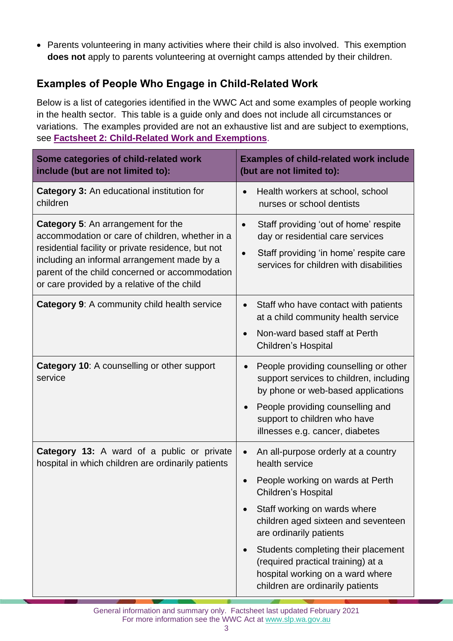• Parents volunteering in many activities where their child is also involved. This exemption **does not** apply to parents volunteering at overnight camps attended by their children.

# **Examples of People Who Engage in Child-Related Work**

Below is a list of categories identified in the WWC Act and some examples of people working in the health sector. This table is a guide only and does not include all circumstances or variations. The examples provided are not an exhaustive list and are subject to exemptions, see **[Factsheet 2: Child-Related Work and Exemptions](https://workingwithchildren.wa.gov.au/docs/default-source/default-document-library/factsheet-2-child-related-work-and-exemptions-2015.pdf)**.

| Some categories of child-related work<br>include (but are not limited to):                                                                                                                                                                                                                         | <b>Examples of child-related work include</b><br>(but are not limited to):                                                                                                                                                                                                                                                                                                                        |  |
|----------------------------------------------------------------------------------------------------------------------------------------------------------------------------------------------------------------------------------------------------------------------------------------------------|---------------------------------------------------------------------------------------------------------------------------------------------------------------------------------------------------------------------------------------------------------------------------------------------------------------------------------------------------------------------------------------------------|--|
| <b>Category 3: An educational institution for</b><br>children                                                                                                                                                                                                                                      | Health workers at school, school<br>nurses or school dentists                                                                                                                                                                                                                                                                                                                                     |  |
| <b>Category 5: An arrangement for the</b><br>accommodation or care of children, whether in a<br>residential facility or private residence, but not<br>including an informal arrangement made by a<br>parent of the child concerned or accommodation<br>or care provided by a relative of the child | Staff providing 'out of home' respite<br>$\bullet$<br>day or residential care services<br>Staff providing 'in home' respite care<br>services for children with disabilities                                                                                                                                                                                                                       |  |
| Category 9: A community child health service                                                                                                                                                                                                                                                       | Staff who have contact with patients<br>$\bullet$<br>at a child community health service<br>Non-ward based staff at Perth<br>$\bullet$<br><b>Children's Hospital</b>                                                                                                                                                                                                                              |  |
| Category 10: A counselling or other support<br>service                                                                                                                                                                                                                                             | People providing counselling or other<br>$\bullet$<br>support services to children, including<br>by phone or web-based applications<br>People providing counselling and<br>$\bullet$<br>support to children who have<br>illnesses e.g. cancer, diabetes                                                                                                                                           |  |
| Category 13: A ward of a public or private<br>hospital in which children are ordinarily patients                                                                                                                                                                                                   | An all-purpose orderly at a country<br>$\bullet$<br>health service<br>People working on wards at Perth<br>Children's Hospital<br>Staff working on wards where<br>$\bullet$<br>children aged sixteen and seventeen<br>are ordinarily patients<br>Students completing their placement<br>(required practical training) at a<br>hospital working on a ward where<br>children are ordinarily patients |  |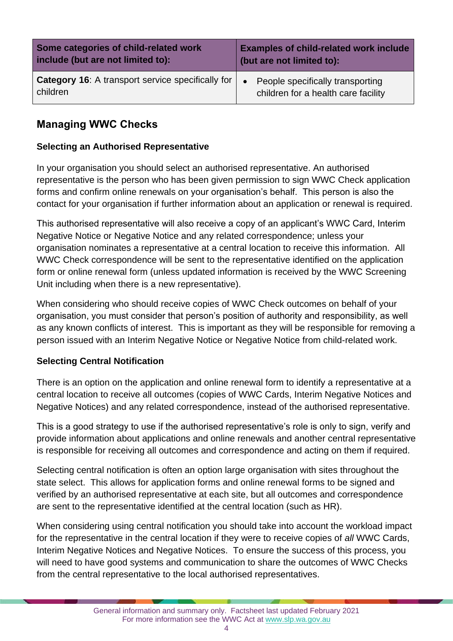| Some categories of child-related work                                  | <b>Examples of child-related work include</b>                                        |
|------------------------------------------------------------------------|--------------------------------------------------------------------------------------|
| include (but are not limited to):                                      | (but are not limited to):                                                            |
| <b>Category 16:</b> A transport service specifically for  <br>children | People specifically transporting<br>$\bullet$<br>children for a health care facility |

### **Managing WWC Checks**

#### **Selecting an Authorised Representative**

In your organisation you should select an authorised representative. An authorised representative is the person who has been given permission to sign WWC Check application forms and confirm online renewals on your organisation's behalf. This person is also the contact for your organisation if further information about an application or renewal is required.

This authorised representative will also receive a copy of an applicant's WWC Card, Interim Negative Notice or Negative Notice and any related correspondence; unless your organisation nominates a representative at a central location to receive this information. All WWC Check correspondence will be sent to the representative identified on the application form or online renewal form (unless updated information is received by the WWC Screening Unit including when there is a new representative).

When considering who should receive copies of WWC Check outcomes on behalf of your organisation, you must consider that person's position of authority and responsibility, as well as any known conflicts of interest. This is important as they will be responsible for removing a person issued with an Interim Negative Notice or Negative Notice from child-related work.

#### **Selecting Central Notification**

There is an option on the application and online renewal form to identify a representative at a central location to receive all outcomes (copies of WWC Cards, Interim Negative Notices and Negative Notices) and any related correspondence, instead of the authorised representative.

This is a good strategy to use if the authorised representative's role is only to sign, verify and provide information about applications and online renewals and another central representative is responsible for receiving all outcomes and correspondence and acting on them if required.

Selecting central notification is often an option large organisation with sites throughout the state select. This allows for application forms and online renewal forms to be signed and verified by an authorised representative at each site, but all outcomes and correspondence are sent to the representative identified at the central location (such as HR).

When considering using central notification you should take into account the workload impact for the representative in the central location if they were to receive copies of *all* WWC Cards, Interim Negative Notices and Negative Notices. To ensure the success of this process, you will need to have good systems and communication to share the outcomes of WWC Checks from the central representative to the local authorised representatives.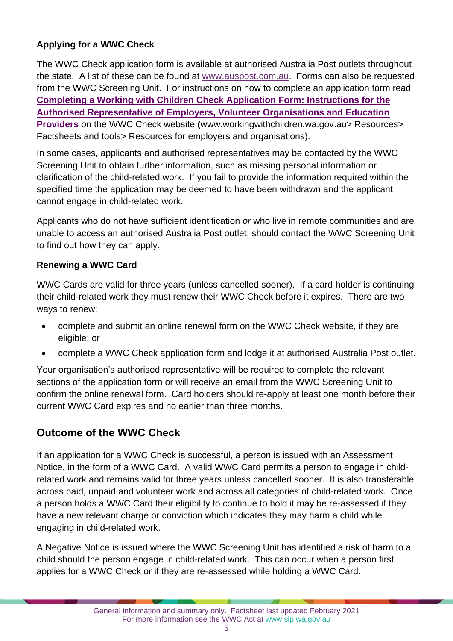#### **Applying for a WWC Check**

The WWC Check application form is available at authorised Australia Post outlets throughout the state. A list of these can be found at [www.auspost.com.au.](https://auspost.com.au/locate/?services=86) Forms can also be requested from the WWC Screening Unit. For instructions on how to complete an application form read **[Completing a Working with Children Check Application Form: Instructions for the](https://workingwithchildren.wa.gov.au/docs/default-source/default-document-library/completing-the-working-with-children-check-application-form-instructions-for-employers.pdf)  [Authorised Representative of Employers, Volunteer Organisations and Education](https://workingwithchildren.wa.gov.au/docs/default-source/default-document-library/completing-the-working-with-children-check-application-form-instructions-for-employers.pdf)  [Providers](https://workingwithchildren.wa.gov.au/docs/default-source/default-document-library/completing-the-working-with-children-check-application-form-instructions-for-employers.pdf)** on the WWC Check website **(**[www.workingwithchildren.wa.gov.au>](http://www.workingwithchildren.wa.gov.au/) Resources> Factsheets and tools> Resources for employers and organisations).

In some cases, applicants and authorised representatives may be contacted by the WWC Screening Unit to obtain further information, such as missing personal information or clarification of the child-related work. If you fail to provide the information required within the specified time the application may be deemed to have been withdrawn and the applicant cannot engage in child-related work.

Applicants who do not have sufficient identification *or* who live in remote communities and are unable to access an authorised Australia Post outlet, should contact the WWC Screening Unit to find out how they can apply.

#### **Renewing a WWC Card**

WWC Cards are valid for three years (unless cancelled sooner). If a card holder is continuing their child-related work they must renew their WWC Check before it expires. There are two ways to renew:

- complete and submit an online renewal form on the WWC Check website, if they are eligible; or
- complete a WWC Check application form and lodge it at authorised Australia Post outlet.

Your organisation's authorised representative will be required to complete the relevant sections of the application form or will receive an email from the WWC Screening Unit to confirm the online renewal form. Card holders should re-apply at least one month before their current WWC Card expires and no earlier than three months.

# **Outcome of the WWC Check**

If an application for a WWC Check is successful, a person is issued with an Assessment Notice, in the form of a WWC Card. A valid WWC Card permits a person to engage in childrelated work and remains valid for three years unless cancelled sooner. It is also transferable across paid, unpaid and volunteer work and across all categories of child-related work. Once a person holds a WWC Card their eligibility to continue to hold it may be re-assessed if they have a new relevant charge or conviction which indicates they may harm a child while engaging in child-related work.

A Negative Notice is issued where the WWC Screening Unit has identified a risk of harm to a child should the person engage in child-related work. This can occur when a person first applies for a WWC Check or if they are re-assessed while holding a WWC Card.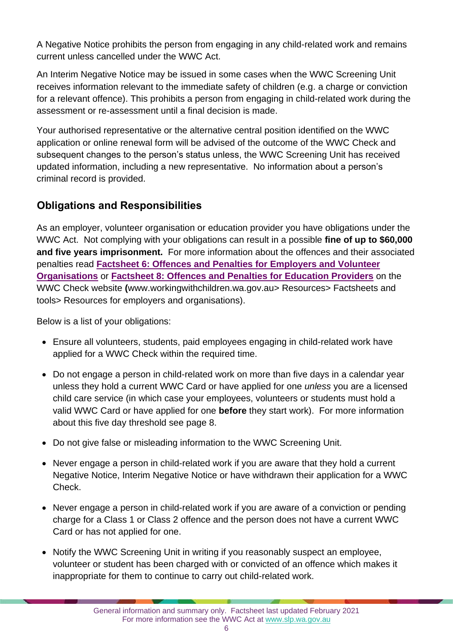A Negative Notice prohibits the person from engaging in any child-related work and remains current unless cancelled under the WWC Act.

An Interim Negative Notice may be issued in some cases when the WWC Screening Unit receives information relevant to the immediate safety of children (e.g. a charge or conviction for a relevant offence). This prohibits a person from engaging in child-related work during the assessment or re-assessment until a final decision is made.

Your authorised representative or the alternative central position identified on the WWC application or online renewal form will be advised of the outcome of the WWC Check and subsequent changes to the person's status unless, the WWC Screening Unit has received updated information, including a new representative. No information about a person's criminal record is provided.

### **Obligations and Responsibilities**

As an employer, volunteer organisation or education provider you have obligations under the WWC Act. Not complying with your obligations can result in a possible **fine of up to \$60,000 and five years imprisonment.** For more information about the offences and their associated penalties read **[Factsheet 6: Offences and Penalties for Employers and Volunteer](https://workingwithchildren.wa.gov.au/docs/default-source/default-document-library/factsheet-6-offences-and-penalties-for-employers-and-volunteer-organisations-2015.pdf)  [Organisations](https://workingwithchildren.wa.gov.au/docs/default-source/default-document-library/factsheet-6-offences-and-penalties-for-employers-and-volunteer-organisations-2015.pdf)** or **[Factsheet 8: Offences and Penalties for Education Providers](https://workingwithchildren.wa.gov.au/docs/default-source/default-document-library/factsheet-8-offences-and-penalties-for-education-providers-2015.pdf)** on the WWC Check website **(**[www.workingwithchildren.wa.gov.au>](http://www.workingwithchildren.wa.gov.au/) Resources> Factsheets and tools> Resources for employers and organisations).

Below is a list of your obligations:

- Ensure all volunteers, students, paid employees engaging in child-related work have applied for a WWC Check within the required time.
- Do not engage a person in child-related work on more than five days in a calendar year unless they hold a current WWC Card or have applied for one *unless* you are a licensed child care service (in which case your employees, volunteers or students must hold a valid WWC Card or have applied for one **before** they start work). For more information about this five day threshold see page 8.
- Do not give false or misleading information to the WWC Screening Unit.
- Never engage a person in child-related work if you are aware that they hold a current Negative Notice, Interim Negative Notice or have withdrawn their application for a WWC Check.
- Never engage a person in child-related work if you are aware of a conviction or pending charge for a Class 1 or Class 2 offence and the person does not have a current WWC Card or has not applied for one.
- Notify the WWC Screening Unit in writing if you reasonably suspect an employee, volunteer or student has been charged with or convicted of an offence which makes it inappropriate for them to continue to carry out child-related work.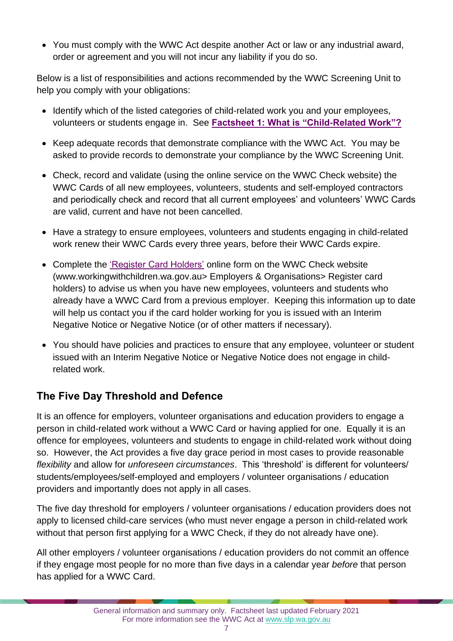• You must comply with the WWC Act despite another Act or law or any industrial award, order or agreement and you will not incur any liability if you do so.

Below is a list of responsibilities and actions recommended by the WWC Screening Unit to help you comply with your obligations:

- Identify which of the listed categories of child-related work you and your employees, volunteers or students engage in. See **[Factsheet 1: What is "Child-Related Work"?](https://workingwithchildren.wa.gov.au/docs/default-source/default-document-library/factsheet-1-what-is-child-related-work-2015.pdf)**
- Keep adequate records that demonstrate compliance with the WWC Act. You may be asked to provide records to demonstrate your compliance by the WWC Screening Unit.
- Check, record and validate (using the online service on the WWC Check website) the WWC Cards of all new employees, volunteers, students and self-employed contractors and periodically check and record that all current employees' and volunteers' WWC Cards are valid, current and have not been cancelled.
- Have a strategy to ensure employees, volunteers and students engaging in child-related work renew their WWC Cards every three years, before their WWC Cards expire.
- Complete the ['Register Card Holders'](https://workingwithchildren.wa.gov.au/employers-organisations/online-services/registeremployees) online form on the WWC Check website (www.workingwithchildren.wa.gov.au> Employers & Organisations> Register card holders) to advise us when you have new employees, volunteers and students who already have a WWC Card from a previous employer. Keeping this information up to date will help us contact you if the card holder working for you is issued with an Interim Negative Notice or Negative Notice (or of other matters if necessary).
- You should have policies and practices to ensure that any employee, volunteer or student issued with an Interim Negative Notice or Negative Notice does not engage in childrelated work.

# **The Five Day Threshold and Defence**

It is an offence for employers, volunteer organisations and education providers to engage a person in child-related work without a WWC Card or having applied for one. Equally it is an offence for employees, volunteers and students to engage in child-related work without doing so. However, the Act provides a five day grace period in most cases to provide reasonable *flexibility* and allow for *unforeseen circumstances*. This 'threshold' is different for volunteers/ students/employees/self-employed and employers / volunteer organisations / education providers and importantly does not apply in all cases.

The five day threshold for employers / volunteer organisations / education providers does not apply to licensed child-care services (who must never engage a person in child-related work without that person first applying for a WWC Check, if they do not already have one).

All other employers / volunteer organisations / education providers do not commit an offence if they engage most people for no more than five days in a calendar year *before* that person has applied for a WWC Card.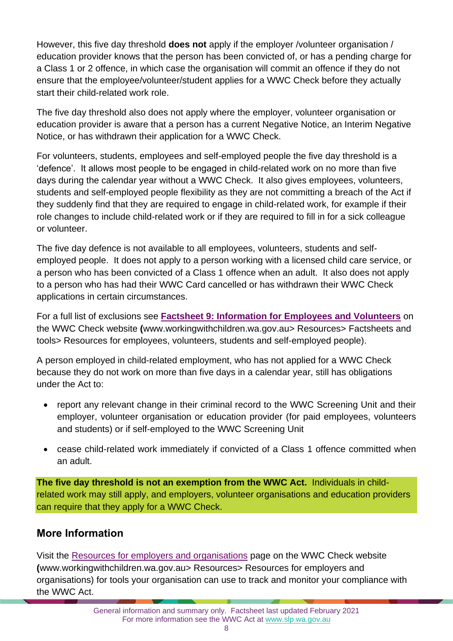However, this five day threshold **does not** apply if the employer /volunteer organisation / education provider knows that the person has been convicted of, or has a pending charge for a Class 1 or 2 offence, in which case the organisation will commit an offence if they do not ensure that the employee/volunteer/student applies for a WWC Check before they actually start their child-related work role.

The five day threshold also does not apply where the employer, volunteer organisation or education provider is aware that a person has a current Negative Notice, an Interim Negative Notice, or has withdrawn their application for a WWC Check.

For volunteers, students, employees and self-employed people the five day threshold is a 'defence'. It allows most people to be engaged in child-related work on no more than five days during the calendar year without a WWC Check. It also gives employees, volunteers, students and self-employed people flexibility as they are not committing a breach of the Act if they suddenly find that they are required to engage in child-related work, for example if their role changes to include child-related work or if they are required to fill in for a sick colleague or volunteer.

The five day defence is not available to all employees, volunteers, students and selfemployed people. It does not apply to a person working with a licensed child care service, or a person who has been convicted of a Class 1 offence when an adult. It also does not apply to a person who has had their WWC Card cancelled or has withdrawn their WWC Check applications in certain circumstances.

For a full list of exclusions see **[Factsheet 9: Information for Employees and Volunteers](https://workingwithchildren.wa.gov.au/docs/default-source/default-document-library/factsheet-9-information-for-employees-and-volunteer-2015.pdf)** on the WWC Check website **(**[www.workingwithchildren.wa.gov.au>](http://www.workingwithchildren.wa.gov.au/) Resources> Factsheets and tools> Resources for employees, volunteers, students and self-employed people).

A person employed in child-related employment, who has not applied for a WWC Check because they do not work on more than five days in a calendar year, still has obligations under the Act to:

- report any relevant change in their criminal record to the WWC Screening Unit and their employer, volunteer organisation or education provider (for paid employees, volunteers and students) or if self-employed to the WWC Screening Unit
- cease child-related work immediately if convicted of a Class 1 offence committed when an adult.

**The five day threshold is not an exemption from the WWC Act.** Individuals in childrelated work may still apply, and employers, volunteer organisations and education providers can require that they apply for a WWC Check.

### **More Information**

Visit the [Resources for employers and organisations](https://workingwithchildren.wa.gov.au/resources/publications/fact-sheets-booklets/resources-for-employers-and-organisations) page on the WWC Check website **(**[www.workingwithchildren.wa.gov.au>](http://www.workingwithchildren.wa.gov.au/) Resources> Resources for employers and organisations) for tools your organisation can use to track and monitor your compliance with the WWC Act.